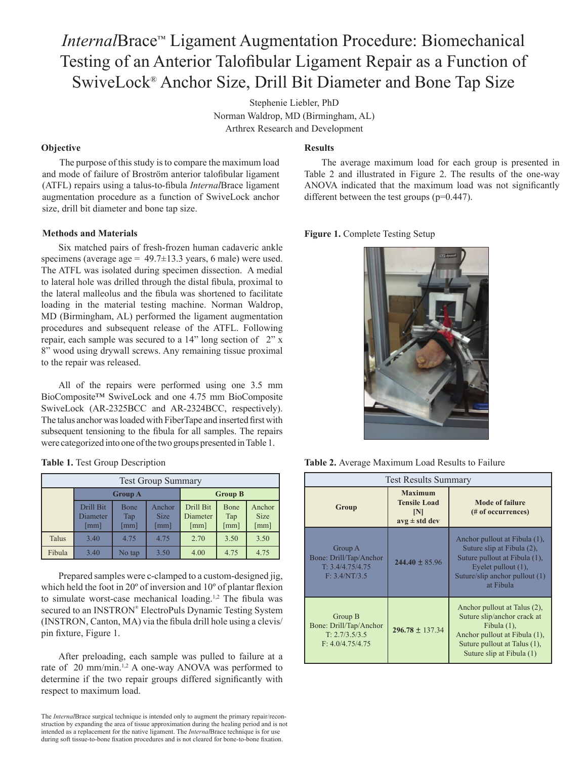# *Internal*Brace™ Ligament Augmentation Procedure: Biomechanical Testing of an Anterior Talofibular Ligament Repair as a Function of SwiveLock® Anchor Size, Drill Bit Diameter and Bone Tap Size

Stephenie Liebler, PhD Norman Waldrop, MD (Birmingham, AL) Arthrex Research and Development

## **Objective**

The purpose of this study is to compare the maximum load and mode of failure of Broström anterior talofibular ligament (ATFL) repairs using a talus-to-fibula *Internal*Brace ligament augmentation procedure as a function of SwiveLock anchor size, drill bit diameter and bone tap size.

### **Methods and Materials**

Six matched pairs of fresh-frozen human cadaveric ankle specimens (average age =  $49.7 \pm 13.3$  years, 6 male) were used. The ATFL was isolated during specimen dissection. A medial to lateral hole was drilled through the distal fibula, proximal to the lateral malleolus and the fibula was shortened to facilitate loading in the material testing machine. Norman Waldrop, MD (Birmingham, AL) performed the ligament augmentation procedures and subsequent release of the ATFL. Following repair, each sample was secured to a 14" long section of 2" x 8" wood using drywall screws. Any remaining tissue proximal to the repair was released.

All of the repairs were performed using one 3.5 mm BioComposite™ SwiveLock and one 4.75 mm BioComposite SwiveLock (AR-2325BCC and AR-2324BCC, respectively). The talus anchor was loaded with FiberTape and inserted first with subsequent tensioning to the fibula for all samples. The repairs were categorized into one of the two groups presented in Table 1.

| Table 1. Test Group Description |  |  |  |
|---------------------------------|--|--|--|
|---------------------------------|--|--|--|

| <b>Test Group Summary</b> |                                               |                                            |                                               |                               |                     |                               |  |  |
|---------------------------|-----------------------------------------------|--------------------------------------------|-----------------------------------------------|-------------------------------|---------------------|-------------------------------|--|--|
|                           | <b>Group A</b>                                |                                            |                                               | <b>Group B</b>                |                     |                               |  |  |
|                           | Drill Bit<br>Diameter<br>$\lceil$ mm $\rceil$ | <b>Bone</b><br>Tap<br>$\lceil$ mm $\rceil$ | Anchor<br><b>Size</b><br>$\lceil$ mm $\rceil$ | Drill Bit<br>Diameter<br>[mm] | Bone<br>Tap<br>[mm] | Anchor<br><b>Size</b><br>[mm] |  |  |
| Talus                     | 3.40                                          | 4.75                                       | 4.75                                          | 2.70                          | 3.50                | 3.50                          |  |  |
| Fibula                    | 3.40                                          | No tap                                     | 3.50                                          | 4.00                          | 4.75                | 4.75                          |  |  |

Prepared samples were c-clamped to a custom-designed jig, which held the foot in 20º of inversion and 10º of plantar flexion to simulate worst-case mechanical loading.<sup>1,2</sup> The fibula was secured to an INSTRON® ElectroPuls Dynamic Testing System (INSTRON, Canton, MA) via the fibula drill hole using a clevis/ pin fixture, Figure 1.

After preloading, each sample was pulled to failure at a rate of 20 mm/min.<sup>1,2</sup> A one-way ANOVA was performed to determine if the two repair groups differed significantly with respect to maximum load.

## **Results**

The average maximum load for each group is presented in Table 2 and illustrated in Figure 2. The results of the one-way ANOVA indicated that the maximum load was not significantly different between the test groups (p=0.447).

Figure 1. Complete Testing Setup



**Table 2.** Average Maximum Load Results to Failure

| <b>Test Results Summary</b>                                             |                                                                   |                                                                                                                                                                             |  |  |  |
|-------------------------------------------------------------------------|-------------------------------------------------------------------|-----------------------------------------------------------------------------------------------------------------------------------------------------------------------------|--|--|--|
| Group                                                                   | <b>Maximum</b><br><b>Tensile Load</b><br> N <br>$avg \pm std$ dev | Mode of failure<br>(# of occurrences)                                                                                                                                       |  |  |  |
| Group A<br>Bone: Drill/Tap/Anchor<br>T: 3.4/4.75/4.75<br>F: 3.4/NT/3.5  | $244.40 \pm 85.96$                                                | Anchor pullout at Fibula (1),<br>Suture slip at Fibula (2),<br>Suture pullout at Fibula (1),<br>Eyelet pullout $(1)$ ,<br>Suture/slip anchor pullout (1)<br>at Fibula       |  |  |  |
| Group B<br>Bone: Drill/Tap/Anchor<br>T: 2.7/3.5/3.5<br>F: 4.0/4.75/4.75 | $296.78 \pm 137.34$                                               | Anchor pullout at Talus (2),<br>Suture slip/anchor crack at<br>Fibula $(1)$ ,<br>Anchor pullout at Fibula (1),<br>Suture pullout at Talus (1),<br>Suture slip at Fibula (1) |  |  |  |

The *Internal*Brace surgical technique is intended only to augment the primary repair/reconstruction by expanding the area of tissue approximation during the healing period and is not intended as a replacement for the native ligament. The *Internal*Brace technique is for use during soft tissue-to-bone fixation procedures and is not cleared for bone-to-bone fixation.